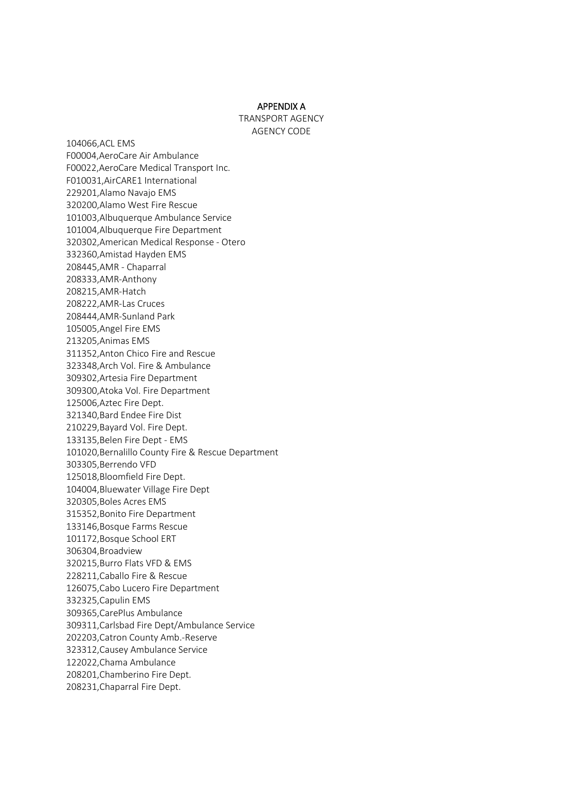#### APPENDIX A

TRANSPORT AGENCY AGENCY CODE

104066,ACL EMS F00004,AeroCare Air Ambulance F00022,AeroCare Medical Transport Inc. F010031,AirCARE1 International 229201,Alamo Navajo EMS 320200,Alamo West Fire Rescue 101003,Albuquerque Ambulance Service 101004,Albuquerque Fire Department 320302,American Medical Response - Otero 332360,Amistad Hayden EMS 208445,AMR - Chaparral 208333,AMR-Anthony 208215,AMR-Hatch 208222,AMR-Las Cruces 208444,AMR-Sunland Park 105005,Angel Fire EMS 213205,Animas EMS 311352,Anton Chico Fire and Rescue 323348,Arch Vol. Fire & Ambulance 309302,Artesia Fire Department 309300,Atoka Vol. Fire Department 125006,Aztec Fire Dept. 321340,Bard Endee Fire Dist 210229,Bayard Vol. Fire Dept. 133135,Belen Fire Dept - EMS 101020,Bernalillo County Fire & Rescue Department 303305,Berrendo VFD 125018,Bloomfield Fire Dept. 104004,Bluewater Village Fire Dept 320305,Boles Acres EMS 315352,Bonito Fire Department 133146,Bosque Farms Rescue 101172,Bosque School ERT 306304,Broadview 320215,Burro Flats VFD & EMS 228211,Caballo Fire & Rescue 126075,Cabo Lucero Fire Department 332325,Capulin EMS 309365,CarePlus Ambulance 309311,Carlsbad Fire Dept/Ambulance Service 202203,Catron County Amb.-Reserve 323312,Causey Ambulance Service 122022,Chama Ambulance 208201,Chamberino Fire Dept. 208231,Chaparral Fire Dept.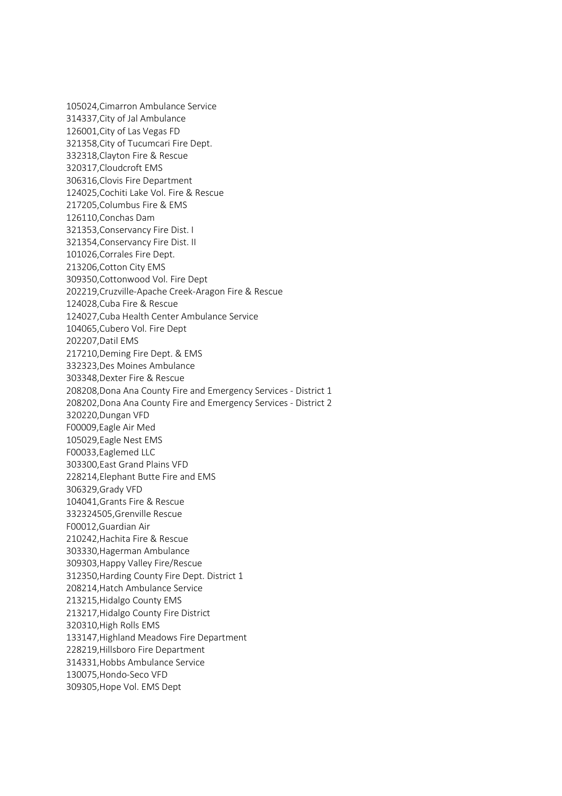105024,Cimarron Ambulance Service 314337,City of Jal Ambulance 126001,City of Las Vegas FD 321358,City of Tucumcari Fire Dept. 332318,Clayton Fire & Rescue 320317,Cloudcroft EMS 306316,Clovis Fire Department 124025,Cochiti Lake Vol. Fire & Rescue 217205,Columbus Fire & EMS 126110,Conchas Dam 321353,Conservancy Fire Dist. I 321354,Conservancy Fire Dist. II 101026,Corrales Fire Dept. 213206,Cotton City EMS 309350,Cottonwood Vol. Fire Dept 202219,Cruzville-Apache Creek-Aragon Fire & Rescue 124028,Cuba Fire & Rescue 124027,Cuba Health Center Ambulance Service 104065,Cubero Vol. Fire Dept 202207,Datil EMS 217210,Deming Fire Dept. & EMS 332323,Des Moines Ambulance 303348,Dexter Fire & Rescue 208208,Dona Ana County Fire and Emergency Services - District 1 208202,Dona Ana County Fire and Emergency Services - District 2 320220,Dungan VFD F00009,Eagle Air Med 105029,Eagle Nest EMS F00033,Eaglemed LLC 303300,East Grand Plains VFD 228214,Elephant Butte Fire and EMS 306329,Grady VFD 104041,Grants Fire & Rescue 332324505,Grenville Rescue F00012,Guardian Air 210242,Hachita Fire & Rescue 303330,Hagerman Ambulance 309303,Happy Valley Fire/Rescue 312350,Harding County Fire Dept. District 1 208214,Hatch Ambulance Service 213215,Hidalgo County EMS 213217,Hidalgo County Fire District 320310,High Rolls EMS 133147,Highland Meadows Fire Department 228219,Hillsboro Fire Department 314331,Hobbs Ambulance Service 130075,Hondo-Seco VFD 309305,Hope Vol. EMS Dept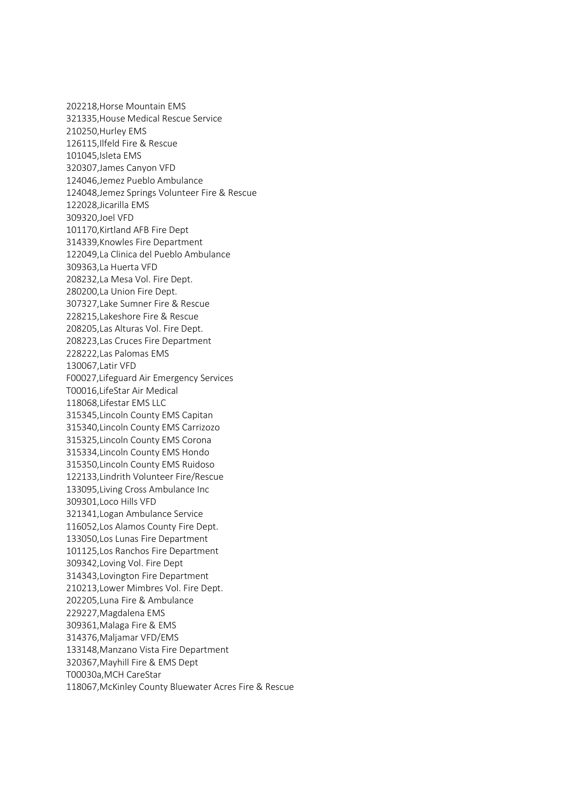202218,Horse Mountain EMS 321335,House Medical Rescue Service 210250,Hurley EMS 126115,Ilfeld Fire & Rescue 101045,Isleta EMS 320307,James Canyon VFD 124046,Jemez Pueblo Ambulance 124048,Jemez Springs Volunteer Fire & Rescue 122028,Jicarilla EMS 309320,Joel VFD 101170,Kirtland AFB Fire Dept 314339,Knowles Fire Department 122049,La Clinica del Pueblo Ambulance 309363,La Huerta VFD 208232,La Mesa Vol. Fire Dept. 280200,La Union Fire Dept. 307327,Lake Sumner Fire & Rescue 228215,Lakeshore Fire & Rescue 208205,Las Alturas Vol. Fire Dept. 208223,Las Cruces Fire Department 228222,Las Palomas EMS 130067,Latir VFD F00027,Lifeguard Air Emergency Services T00016,LifeStar Air Medical 118068,Lifestar EMS LLC 315345,Lincoln County EMS Capitan 315340,Lincoln County EMS Carrizozo 315325,Lincoln County EMS Corona 315334,Lincoln County EMS Hondo 315350,Lincoln County EMS Ruidoso 122133,Lindrith Volunteer Fire/Rescue 133095,Living Cross Ambulance Inc 309301,Loco Hills VFD 321341,Logan Ambulance Service 116052,Los Alamos County Fire Dept. 133050,Los Lunas Fire Department 101125,Los Ranchos Fire Department 309342,Loving Vol. Fire Dept 314343,Lovington Fire Department 210213,Lower Mimbres Vol. Fire Dept. 202205,Luna Fire & Ambulance 229227,Magdalena EMS 309361,Malaga Fire & EMS 314376,Maljamar VFD/EMS 133148,Manzano Vista Fire Department 320367,Mayhill Fire & EMS Dept T00030a,MCH CareStar 118067,McKinley County Bluewater Acres Fire & Rescue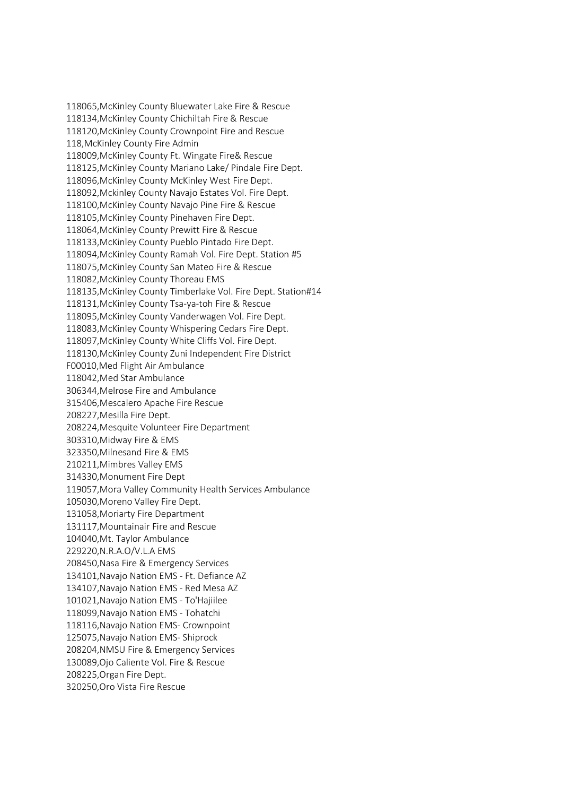118065,McKinley County Bluewater Lake Fire & Rescue 118134,McKinley County Chichiltah Fire & Rescue 118120,McKinley County Crownpoint Fire and Rescue 118,McKinley County Fire Admin 118009,McKinley County Ft. Wingate Fire& Rescue 118125,McKinley County Mariano Lake/ Pindale Fire Dept. 118096,McKinley County McKinley West Fire Dept. 118092,Mckinley County Navajo Estates Vol. Fire Dept. 118100,McKinley County Navajo Pine Fire & Rescue 118105,McKinley County Pinehaven Fire Dept. 118064,McKinley County Prewitt Fire & Rescue 118133,McKinley County Pueblo Pintado Fire Dept. 118094,McKinley County Ramah Vol. Fire Dept. Station #5 118075,McKinley County San Mateo Fire & Rescue 118082,McKinley County Thoreau EMS 118135,McKinley County Timberlake Vol. Fire Dept. Station#14 118131,McKinley County Tsa-ya-toh Fire & Rescue 118095,McKinley County Vanderwagen Vol. Fire Dept. 118083,McKinley County Whispering Cedars Fire Dept. 118097,McKinley County White Cliffs Vol. Fire Dept. 118130,McKinley County Zuni Independent Fire District F00010,Med Flight Air Ambulance 118042,Med Star Ambulance 306344,Melrose Fire and Ambulance 315406,Mescalero Apache Fire Rescue 208227,Mesilla Fire Dept. 208224,Mesquite Volunteer Fire Department 303310,Midway Fire & EMS 323350,Milnesand Fire & EMS 210211,Mimbres Valley EMS 314330,Monument Fire Dept 119057,Mora Valley Community Health Services Ambulance 105030,Moreno Valley Fire Dept. 131058,Moriarty Fire Department 131117,Mountainair Fire and Rescue 104040,Mt. Taylor Ambulance 229220,N.R.A.O/V.L.A EMS 208450,Nasa Fire & Emergency Services 134101,Navajo Nation EMS - Ft. Defiance AZ 134107,Navajo Nation EMS - Red Mesa AZ 101021,Navajo Nation EMS - To'Hajiilee 118099,Navajo Nation EMS - Tohatchi 118116,Navajo Nation EMS- Crownpoint 125075,Navajo Nation EMS- Shiprock 208204,NMSU Fire & Emergency Services 130089,Ojo Caliente Vol. Fire & Rescue 208225,Organ Fire Dept. 320250,Oro Vista Fire Rescue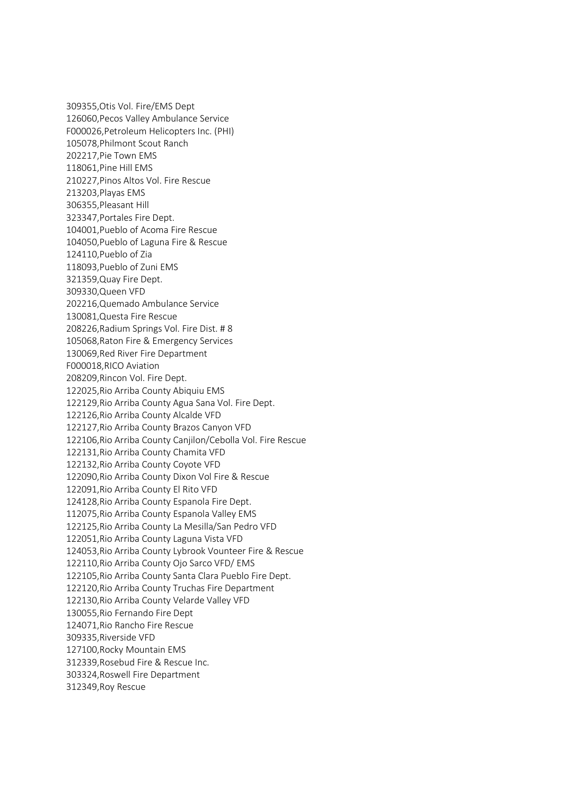309355,Otis Vol. Fire/EMS Dept 126060,Pecos Valley Ambulance Service F000026,Petroleum Helicopters Inc. (PHI) 105078,Philmont Scout Ranch 202217,Pie Town EMS 118061,Pine Hill EMS 210227,Pinos Altos Vol. Fire Rescue 213203,Playas EMS 306355,Pleasant Hill 323347,Portales Fire Dept. 104001,Pueblo of Acoma Fire Rescue 104050,Pueblo of Laguna Fire & Rescue 124110,Pueblo of Zia 118093,Pueblo of Zuni EMS 321359,Quay Fire Dept. 309330,Queen VFD 202216,Quemado Ambulance Service 130081,Questa Fire Rescue 208226,Radium Springs Vol. Fire Dist. # 8 105068,Raton Fire & Emergency Services 130069,Red River Fire Department F000018,RICO Aviation 208209,Rincon Vol. Fire Dept. 122025,Rio Arriba County Abiquiu EMS 122129,Rio Arriba County Agua Sana Vol. Fire Dept. 122126,Rio Arriba County Alcalde VFD 122127,Rio Arriba County Brazos Canyon VFD 122106,Rio Arriba County Canjilon/Cebolla Vol. Fire Rescue 122131,Rio Arriba County Chamita VFD 122132,Rio Arriba County Coyote VFD 122090,Rio Arriba County Dixon Vol Fire & Rescue 122091,Rio Arriba County El Rito VFD 124128,Rio Arriba County Espanola Fire Dept. 112075,Rio Arriba County Espanola Valley EMS 122125,Rio Arriba County La Mesilla/San Pedro VFD 122051,Rio Arriba County Laguna Vista VFD 124053,Rio Arriba County Lybrook Vounteer Fire & Rescue 122110,Rio Arriba County Ojo Sarco VFD/ EMS 122105,Rio Arriba County Santa Clara Pueblo Fire Dept. 122120,Rio Arriba County Truchas Fire Department 122130,Rio Arriba County Velarde Valley VFD 130055,Rio Fernando Fire Dept 124071,Rio Rancho Fire Rescue 309335,Riverside VFD 127100,Rocky Mountain EMS 312339,Rosebud Fire & Rescue Inc. 303324,Roswell Fire Department 312349,Roy Rescue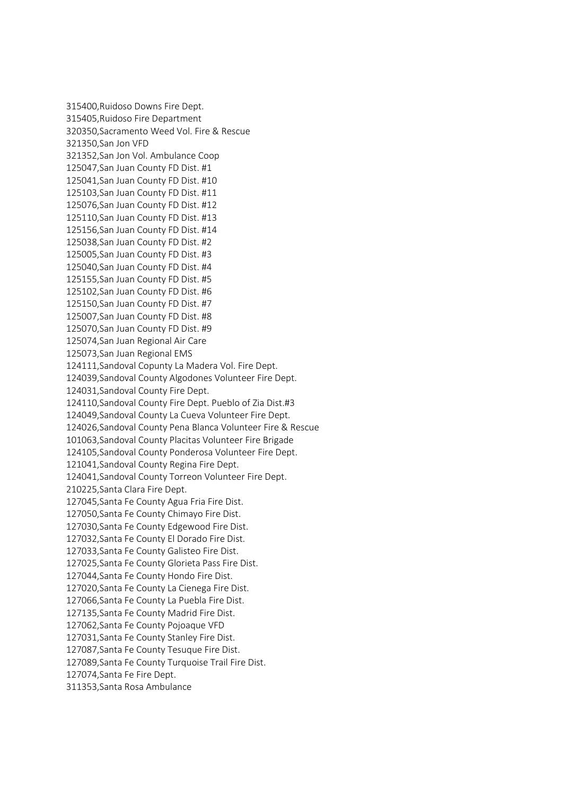315400,Ruidoso Downs Fire Dept. 315405,Ruidoso Fire Department 320350,Sacramento Weed Vol. Fire & Rescue 321350,San Jon VFD 321352,San Jon Vol. Ambulance Coop 125047,San Juan County FD Dist. #1 125041,San Juan County FD Dist. #10 125103,San Juan County FD Dist. #11 125076,San Juan County FD Dist. #12 125110,San Juan County FD Dist. #13 125156,San Juan County FD Dist. #14 125038,San Juan County FD Dist. #2 125005,San Juan County FD Dist. #3 125040,San Juan County FD Dist. #4 125155,San Juan County FD Dist. #5 125102,San Juan County FD Dist. #6 125150,San Juan County FD Dist. #7 125007,San Juan County FD Dist. #8 125070,San Juan County FD Dist. #9 125074,San Juan Regional Air Care 125073,San Juan Regional EMS 124111,Sandoval Copunty La Madera Vol. Fire Dept. 124039,Sandoval County Algodones Volunteer Fire Dept. 124031,Sandoval County Fire Dept. 124110,Sandoval County Fire Dept. Pueblo of Zia Dist.#3 124049,Sandoval County La Cueva Volunteer Fire Dept. 124026,Sandoval County Pena Blanca Volunteer Fire & Rescue 101063,Sandoval County Placitas Volunteer Fire Brigade 124105,Sandoval County Ponderosa Volunteer Fire Dept. 121041,Sandoval County Regina Fire Dept. 124041,Sandoval County Torreon Volunteer Fire Dept. 210225,Santa Clara Fire Dept. 127045,Santa Fe County Agua Fria Fire Dist. 127050,Santa Fe County Chimayo Fire Dist. 127030,Santa Fe County Edgewood Fire Dist. 127032,Santa Fe County El Dorado Fire Dist. 127033,Santa Fe County Galisteo Fire Dist. 127025,Santa Fe County Glorieta Pass Fire Dist. 127044,Santa Fe County Hondo Fire Dist. 127020,Santa Fe County La Cienega Fire Dist. 127066,Santa Fe County La Puebla Fire Dist. 127135,Santa Fe County Madrid Fire Dist. 127062,Santa Fe County Pojoaque VFD 127031,Santa Fe County Stanley Fire Dist. 127087,Santa Fe County Tesuque Fire Dist. 127089,Santa Fe County Turquoise Trail Fire Dist. 127074,Santa Fe Fire Dept. 311353,Santa Rosa Ambulance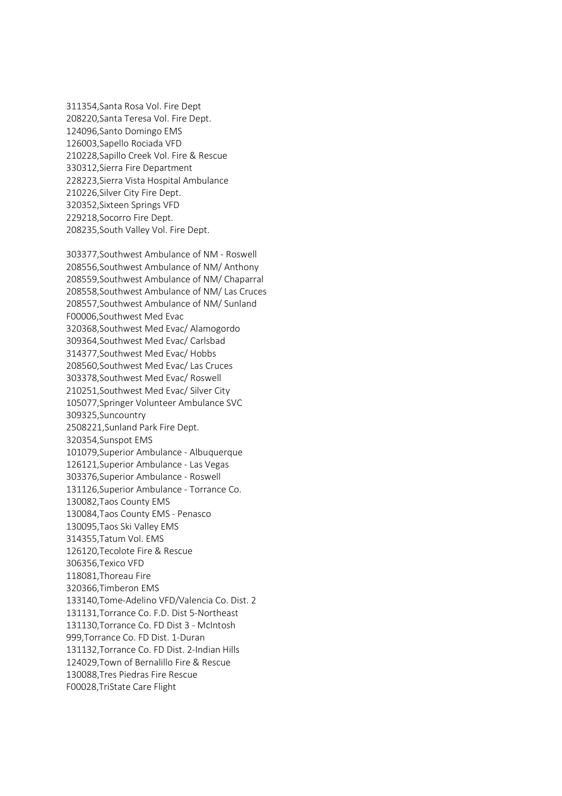311354,Santa Rosa Vol. Fire Dept 208220,Santa Teresa Vol. Fire Dept. 124096,Santo Domingo EMS 126003,Sapello Rociada VFD 210228,Sapillo Creek Vol. Fire & Rescue 330312,Sierra Fire Department 228223,Sierra Vista Hospital Ambulance 210226,Silver City Fire Dept. 320352,Sixteen Springs VFD 229218,Socorro Fire Dept. 208235,South Valley Vol. Fire Dept.

303377,Southwest Ambulance of NM - Roswell 208556,Southwest Ambulance of NM/ Anthony 208559,Southwest Ambulance of NM/ Chaparral 208558,Southwest Ambulance of NM/ Las Cruces 208557,Southwest Ambulance of NM/ Sunland F00006,Southwest Med Evac 320368,Southwest Med Evac/ Alamogordo 309364,Southwest Med Evac/ Carlsbad 314377,Southwest Med Evac/ Hobbs 208560,Southwest Med Evac/ Las Cruces 303378,Southwest Med Evac/ Roswell 210251,Southwest Med Evac/ Silver City 105077,Springer Volunteer Ambulance SVC 309325,Suncountry 2508221,Sunland Park Fire Dept. 320354,Sunspot EMS 101079,Superior Ambulance - Albuquerque 126121,Superior Ambulance - Las Vegas 303376,Superior Ambulance - Roswell 131126,Superior Ambulance - Torrance Co. 130082,Taos County EMS 130084,Taos County EMS - Penasco 130095,Taos Ski Valley EMS 314355,Tatum Vol. EMS 126120,Tecolote Fire & Rescue 306356,Texico VFD 118081,Thoreau Fire 320366,Timberon EMS 133140,Tome-Adelino VFD/Valencia Co. Dist. 2 131131,Torrance Co. F.D. Dist 5-Northeast 131130,Torrance Co. FD Dist 3 - McIntosh 999,Torrance Co. FD Dist. 1-Duran 131132,Torrance Co. FD Dist. 2-Indian Hills 124029,Town of Bernalillo Fire & Rescue 130088,Tres Piedras Fire Rescue F00028,TriState Care Flight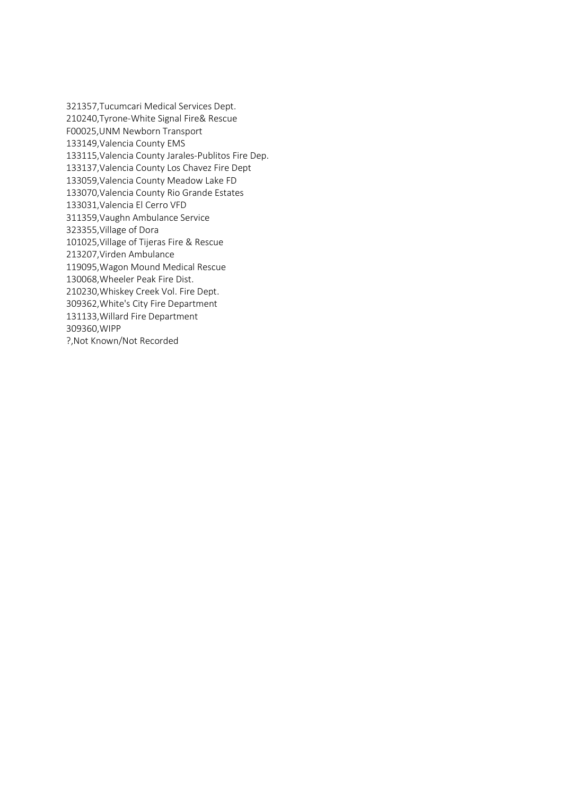321357,Tucumcari Medical Services Dept. 210240,Tyrone-White Signal Fire& Rescue F00025,UNM Newborn Transport 133149,Valencia County EMS 133115,Valencia County Jarales-Publitos Fire Dep. 133137,Valencia County Los Chavez Fire Dept 133059,Valencia County Meadow Lake FD 133070,Valencia County Rio Grande Estates 133031,Valencia El Cerro VFD 311359,Vaughn Ambulance Service 323355,Village of Dora 101025,Village of Tijeras Fire & Rescue 213207,Virden Ambulance 119095,Wagon Mound Medical Rescue 130068,Wheeler Peak Fire Dist. 210230,Whiskey Creek Vol. Fire Dept. 309362,White's City Fire Department 131133,Willard Fire Department 309360,WIPP ?,Not Known/Not Recorded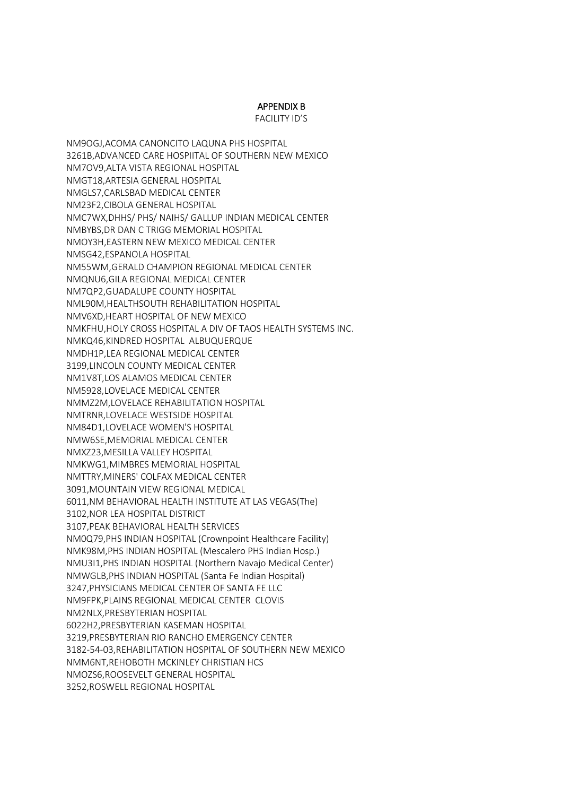### APPENDIX B

FACILITY ID'S

NM9OGJ,ACOMA CANONCITO LAQUNA PHS HOSPITAL 3261B,ADVANCED CARE HOSPIITAL OF SOUTHERN NEW MEXICO NM7OV9,ALTA VISTA REGIONAL HOSPITAL NMGT18,ARTESIA GENERAL HOSPITAL NMGLS7,CARLSBAD MEDICAL CENTER NM23F2,CIBOLA GENERAL HOSPITAL NMC7WX,DHHS/ PHS/ NAIHS/ GALLUP INDIAN MEDICAL CENTER NMBYBS,DR DAN C TRIGG MEMORIAL HOSPITAL NMOY3H,EASTERN NEW MEXICO MEDICAL CENTER NMSG42,ESPANOLA HOSPITAL NM55WM,GERALD CHAMPION REGIONAL MEDICAL CENTER NMQNU6,GILA REGIONAL MEDICAL CENTER NM7QP2,GUADALUPE COUNTY HOSPITAL NML90M,HEALTHSOUTH REHABILITATION HOSPITAL NMV6XD,HEART HOSPITAL OF NEW MEXICO NMKFHU,HOLY CROSS HOSPITAL A DIV OF TAOS HEALTH SYSTEMS INC. NMKQ46,KINDRED HOSPITAL ALBUQUERQUE NMDH1P,LEA REGIONAL MEDICAL CENTER 3199,LINCOLN COUNTY MEDICAL CENTER NM1V8T,LOS ALAMOS MEDICAL CENTER NM5928,LOVELACE MEDICAL CENTER NMMZ2M,LOVELACE REHABILITATION HOSPITAL NMTRNR,LOVELACE WESTSIDE HOSPITAL NM84D1,LOVELACE WOMEN'S HOSPITAL NMW6SE,MEMORIAL MEDICAL CENTER NMXZ23,MESILLA VALLEY HOSPITAL NMKWG1,MIMBRES MEMORIAL HOSPITAL NMTTRY,MINERS' COLFAX MEDICAL CENTER 3091,MOUNTAIN VIEW REGIONAL MEDICAL 6011,NM BEHAVIORAL HEALTH INSTITUTE AT LAS VEGAS(The) 3102,NOR LEA HOSPITAL DISTRICT 3107,PEAK BEHAVIORAL HEALTH SERVICES NM0Q79,PHS INDIAN HOSPITAL (Crownpoint Healthcare Facility) NMK98M,PHS INDIAN HOSPITAL (Mescalero PHS Indian Hosp.) NMU3I1,PHS INDIAN HOSPITAL (Northern Navajo Medical Center) NMWGLB,PHS INDIAN HOSPITAL (Santa Fe Indian Hospital) 3247,PHYSICIANS MEDICAL CENTER OF SANTA FE LLC NM9FPK,PLAINS REGIONAL MEDICAL CENTER CLOVIS NM2NLX,PRESBYTERIAN HOSPITAL 6022H2,PRESBYTERIAN KASEMAN HOSPITAL 3219,PRESBYTERIAN RIO RANCHO EMERGENCY CENTER 3182-54-03,REHABILITATION HOSPITAL OF SOUTHERN NEW MEXICO NMM6NT,REHOBOTH MCKINLEY CHRISTIAN HCS NMOZS6,ROOSEVELT GENERAL HOSPITAL 3252,ROSWELL REGIONAL HOSPITAL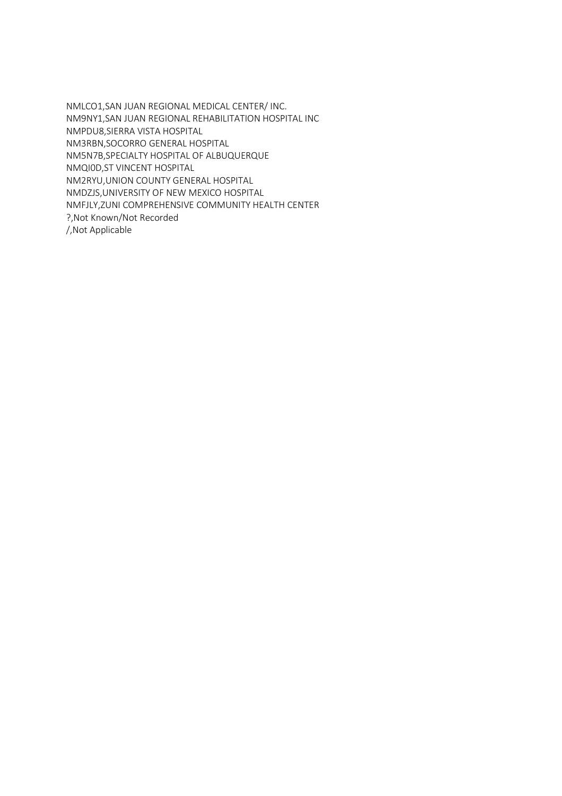NMLCO1,SAN JUAN REGIONAL MEDICAL CENTER/ INC. NM9NY1,SAN JUAN REGIONAL REHABILITATION HOSPITAL INC NMPDU8,SIERRA VISTA HOSPITAL NM3RBN,SOCORRO GENERAL HOSPITAL NM5N7B,SPECIALTY HOSPITAL OF ALBUQUERQUE NMQI0D,ST VINCENT HOSPITAL NM2RYU,UNION COUNTY GENERAL HOSPITAL NMDZJS,UNIVERSITY OF NEW MEXICO HOSPITAL NMFJLY,ZUNI COMPREHENSIVE COMMUNITY HEALTH CENTER ?,Not Known/Not Recorded /,Not Applicable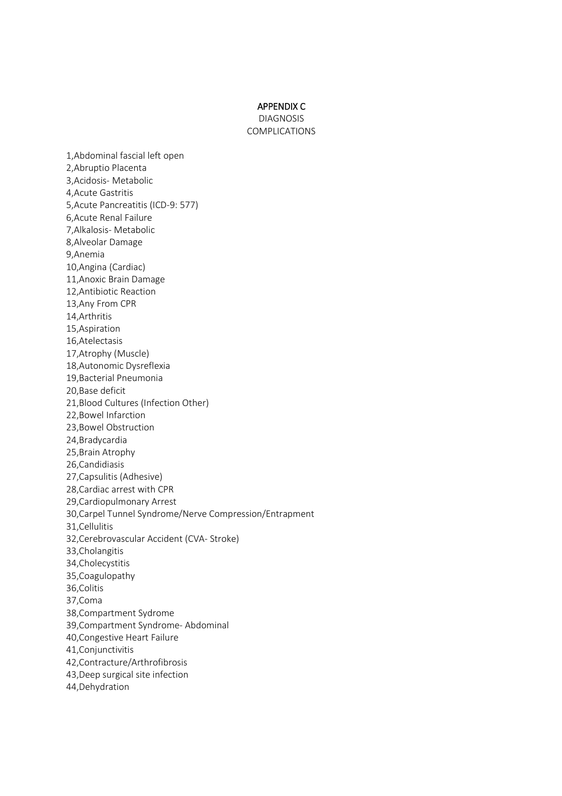#### APPENDIX C

DIAGNOSIS COMPLICATIONS

1,Abdominal fascial left open 2,Abruptio Placenta 3,Acidosis- Metabolic 4,Acute Gastritis 5,Acute Pancreatitis (ICD-9: 577) 6,Acute Renal Failure 7,Alkalosis- Metabolic 8,Alveolar Damage 9,Anemia 10,Angina (Cardiac) 11,Anoxic Brain Damage 12,Antibiotic Reaction 13,Any From CPR 14,Arthritis 15,Aspiration 16,Atelectasis 17,Atrophy (Muscle) 18,Autonomic Dysreflexia 19,Bacterial Pneumonia 20,Base deficit 21,Blood Cultures (Infection Other) 22,Bowel Infarction 23,Bowel Obstruction 24,Bradycardia 25,Brain Atrophy 26,Candidiasis 27,Capsulitis (Adhesive) 28,Cardiac arrest with CPR 29,Cardiopulmonary Arrest 30,Carpel Tunnel Syndrome/Nerve Compression/Entrapment 31,Cellulitis 32,Cerebrovascular Accident (CVA- Stroke) 33,Cholangitis 34,Cholecystitis 35,Coagulopathy 36,Colitis 37,Coma 38,Compartment Sydrome 39,Compartment Syndrome- Abdominal 40,Congestive Heart Failure 41,Conjunctivitis 42,Contracture/Arthrofibrosis 43,Deep surgical site infection 44,Dehydration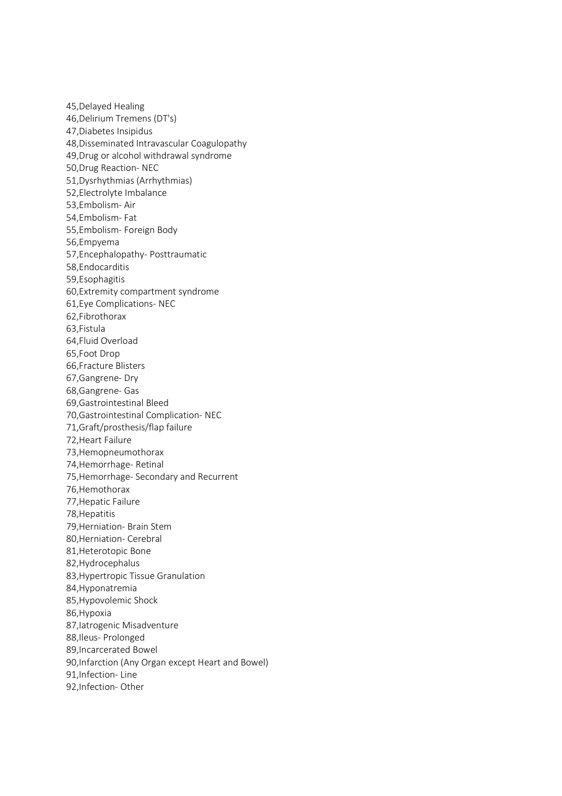45,Delayed Healing 46,Delirium Tremens (DT's) 47,Diabetes Insipidus 48,Disseminated Intravascular Coagulopathy 49,Drug or alcohol withdrawal syndrome 50,Drug Reaction- NEC 51,Dysrhythmias (Arrhythmias) 52,Electrolyte Imbalance 53,Embolism- Air 54,Embolism- Fat 55,Embolism- Foreign Body 56,Empyema 57,Encephalopathy- Posttraumatic 58,Endocarditis 59,Esophagitis 60,Extremity compartment syndrome 61,Eye Complications- NEC 62,Fibrothorax 63,Fistula 64,Fluid Overload 65,Foot Drop 66,Fracture Blisters 67,Gangrene- Dry 68,Gangrene- Gas 69,Gastrointestinal Bleed 70,Gastrointestinal Complication- NEC 71,Graft/prosthesis/flap failure 72,Heart Failure 73,Hemopneumothorax 74,Hemorrhage- Retinal 75,Hemorrhage- Secondary and Recurrent 76,Hemothorax 77,Hepatic Failure 78,Hepatitis 79,Herniation- Brain Stem 80,Herniation- Cerebral 81,Heterotopic Bone 82,Hydrocephalus 83,Hypertropic Tissue Granulation 84,Hyponatremia 85,Hypovolemic Shock 86,Hypoxia 87,Iatrogenic Misadventure 88,Ileus- Prolonged 89,Incarcerated Bowel 90,Infarction (Any Organ except Heart and Bowel) 91,Infection- Line 92,Infection- Other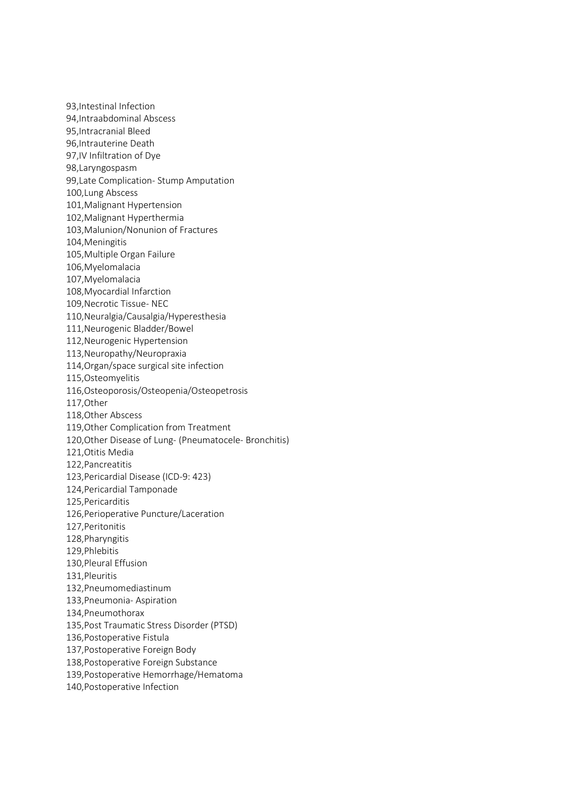93,Intestinal Infection 94,Intraabdominal Abscess 95,Intracranial Bleed 96,Intrauterine Death 97,IV Infiltration of Dye 98,Laryngospasm 99,Late Complication- Stump Amputation 100,Lung Abscess 101,Malignant Hypertension 102,Malignant Hyperthermia 103,Malunion/Nonunion of Fractures 104,Meningitis 105,Multiple Organ Failure 106,Myelomalacia 107,Myelomalacia 108,Myocardial Infarction 109,Necrotic Tissue- NEC 110,Neuralgia/Causalgia/Hyperesthesia 111,Neurogenic Bladder/Bowel 112,Neurogenic Hypertension 113,Neuropathy/Neuropraxia 114,Organ/space surgical site infection 115,Osteomyelitis 116,Osteoporosis/Osteopenia/Osteopetrosis 117,Other 118,Other Abscess 119,Other Complication from Treatment 120,Other Disease of Lung- (Pneumatocele- Bronchitis) 121,Otitis Media 122,Pancreatitis 123,Pericardial Disease (ICD-9: 423) 124,Pericardial Tamponade 125,Pericarditis 126,Perioperative Puncture/Laceration 127,Peritonitis 128,Pharyngitis 129,Phlebitis 130,Pleural Effusion 131,Pleuritis 132,Pneumomediastinum 133,Pneumonia- Aspiration 134,Pneumothorax 135,Post Traumatic Stress Disorder (PTSD) 136,Postoperative Fistula 137,Postoperative Foreign Body 138,Postoperative Foreign Substance 139,Postoperative Hemorrhage/Hematoma 140,Postoperative Infection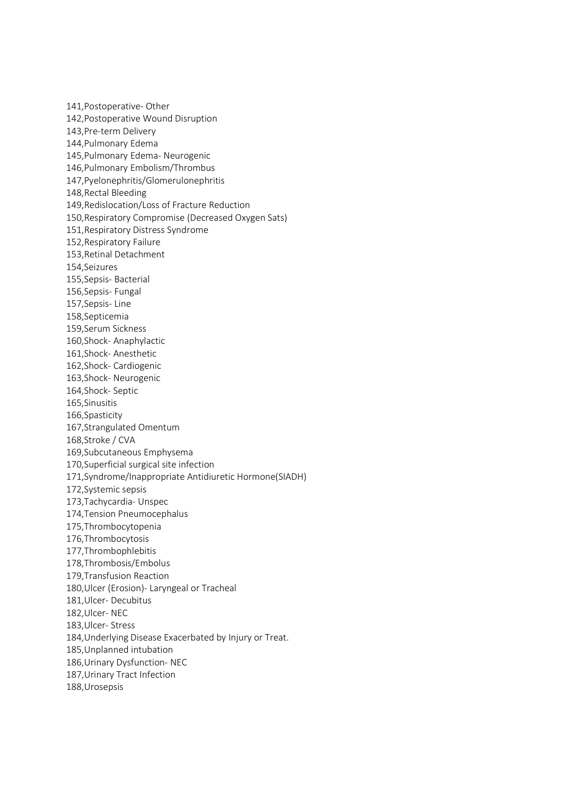141,Postoperative- Other 142,Postoperative Wound Disruption 143,Pre-term Delivery 144,Pulmonary Edema 145,Pulmonary Edema- Neurogenic 146,Pulmonary Embolism/Thrombus 147,Pyelonephritis/Glomerulonephritis 148,Rectal Bleeding 149,Redislocation/Loss of Fracture Reduction 150,Respiratory Compromise (Decreased Oxygen Sats) 151,Respiratory Distress Syndrome 152,Respiratory Failure 153,Retinal Detachment 154,Seizures 155,Sepsis- Bacterial 156,Sepsis- Fungal 157,Sepsis- Line 158,Septicemia 159,Serum Sickness 160,Shock- Anaphylactic 161,Shock- Anesthetic 162,Shock- Cardiogenic 163,Shock- Neurogenic 164,Shock- Septic 165,Sinusitis 166,Spasticity 167,Strangulated Omentum 168,Stroke / CVA 169,Subcutaneous Emphysema 170,Superficial surgical site infection 171,Syndrome/Inappropriate Antidiuretic Hormone(SIADH) 172,Systemic sepsis 173,Tachycardia- Unspec 174,Tension Pneumocephalus 175,Thrombocytopenia 176,Thrombocytosis 177,Thrombophlebitis 178,Thrombosis/Embolus 179,Transfusion Reaction 180,Ulcer (Erosion)- Laryngeal or Tracheal 181,Ulcer- Decubitus 182,Ulcer- NEC 183,Ulcer- Stress 184,Underlying Disease Exacerbated by Injury or Treat. 185,Unplanned intubation 186,Urinary Dysfunction- NEC 187,Urinary Tract Infection 188,Urosepsis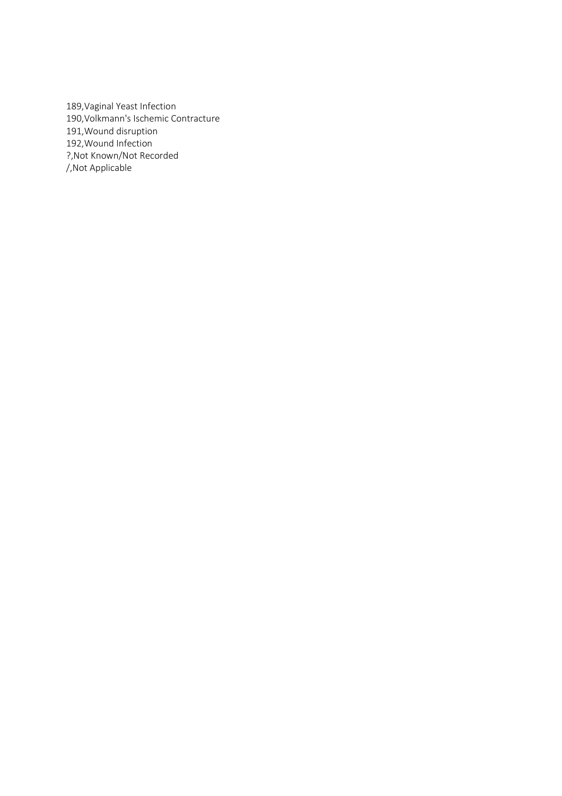189,Vaginal Yeast Infection 190,Volkmann's Ischemic Contracture 191,Wound disruption 192,Wound Infection ?,Not Known/Not Recorded /,Not Applicable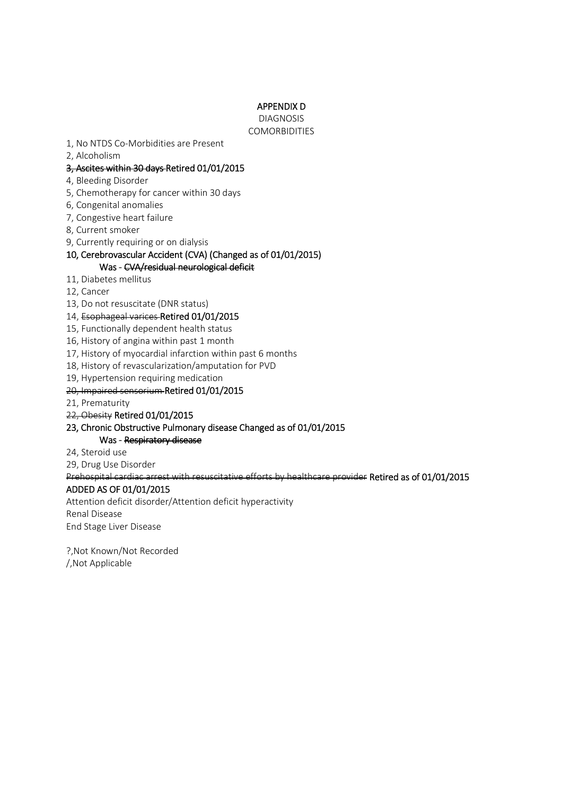# APPENDIX D

DIAGNOSIS **COMORBIDITIES** 

- 1, No NTDS Co-Morbidities are Present
- 2, Alcoholism

# 3, Ascites within 30 days Retired 01/01/2015

- 4, Bleeding Disorder
- 5, Chemotherapy for cancer within 30 days
- 6, Congenital anomalies
- 7, Congestive heart failure
- 8, Current smoker
- 9, Currently requiring or on dialysis

### 10, Cerebrovascular Accident (CVA) (Changed as of 01/01/2015) Was - CVA/residual neurological deficit

- 11, Diabetes mellitus
- 12, Cancer
- 13, Do not resuscitate (DNR status)
- 14, Esophageal varices Retired 01/01/2015
- 15, Functionally dependent health status
- 16, History of angina within past 1 month
- 17, History of myocardial infarction within past 6 months
- 18, History of revascularization/amputation for PVD
- 19, Hypertension requiring medication

### 20, Impaired sensorium Retired 01/01/2015

- 21, Prematurity
- 22, Obesity Retired 01/01/2015

# 23, Chronic Obstructive Pulmonary disease Changed as of 01/01/2015

Was - Respiratory disease

24, Steroid use

29, Drug Use Disorder

Prehospital cardiac arrest with resuscitative efforts by healthcare provider Retired as of 01/01/2015

# ADDED AS OF 01/01/2015

Attention deficit disorder/Attention deficit hyperactivity Renal Disease End Stage Liver Disease

?,Not Known/Not Recorded /,Not Applicable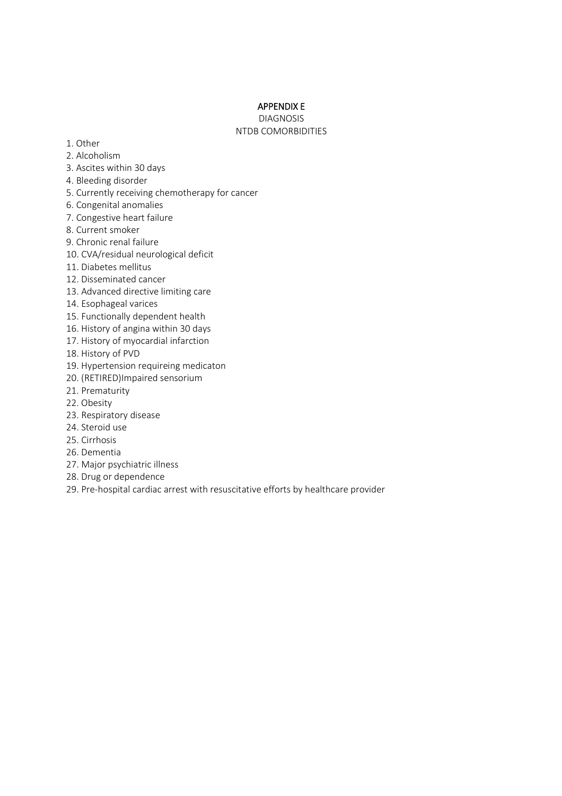# APPENDIX E

DIAGNOSIS NTDB COMORBIDITIES

- 1. Other
- 2. Alcoholism
- 3. Ascites within 30 days
- 4. Bleeding disorder
- 5. Currently receiving chemotherapy for cancer
- 6. Congenital anomalies
- 7. Congestive heart failure
- 8. Current smoker
- 9. Chronic renal failure
- 10. CVA/residual neurological deficit
- 11. Diabetes mellitus
- 12. Disseminated cancer
- 13. Advanced directive limiting care
- 14. Esophageal varices
- 15. Functionally dependent health
- 16. History of angina within 30 days
- 17. History of myocardial infarction
- 18. History of PVD
- 19. Hypertension requireing medicaton
- 20. (RETIRED)Impaired sensorium
- 21. Prematurity
- 22. Obesity
- 23. Respiratory disease
- 24. Steroid use
- 25. Cirrhosis
- 26. Dementia
- 27. Major psychiatric illness
- 28. Drug or dependence
- 29. Pre-hospital cardiac arrest with resuscitative efforts by healthcare provider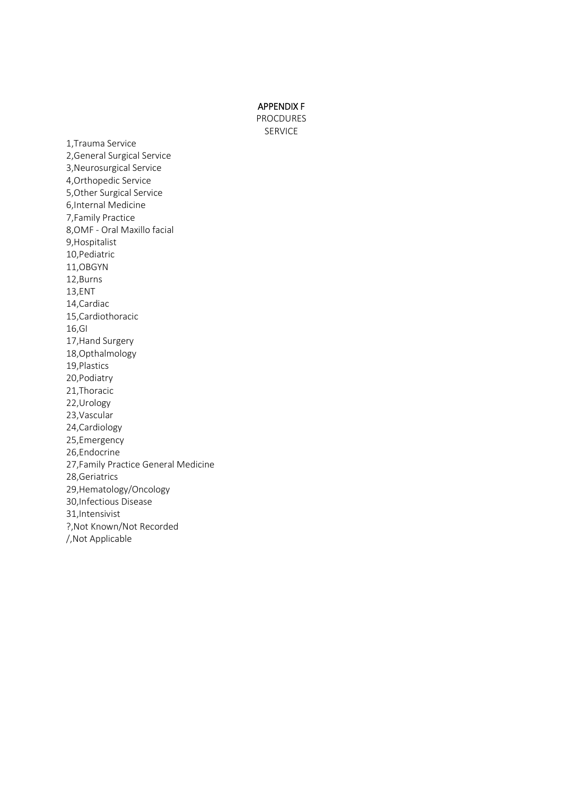APPENDIX F

PROCDURES SERVICE

1,Trauma Service 2,General Surgical Service 3,Neurosurgical Service 4,Orthopedic Service 5,Other Surgical Service 6,Internal Medicine 7,Family Practice 8,OMF - Oral Maxillo facial 9,Hospitalist 10,Pediatric 11,OBGYN 12,Burns 13,ENT 14,Cardiac 15,Cardiothoracic 16,GI 17,Hand Surgery 18,Opthalmology 19,Plastics 20,Podiatry 21,Thoracic 22,Urology 23,Vascular 24,Cardiology 25,Emergency 26,Endocrine 27,Family Practice General Medicine 28,Geriatrics 29,Hematology/Oncology 30,Infectious Disease 31,Intensivist ?,Not Known/Not Recorded /,Not Applicable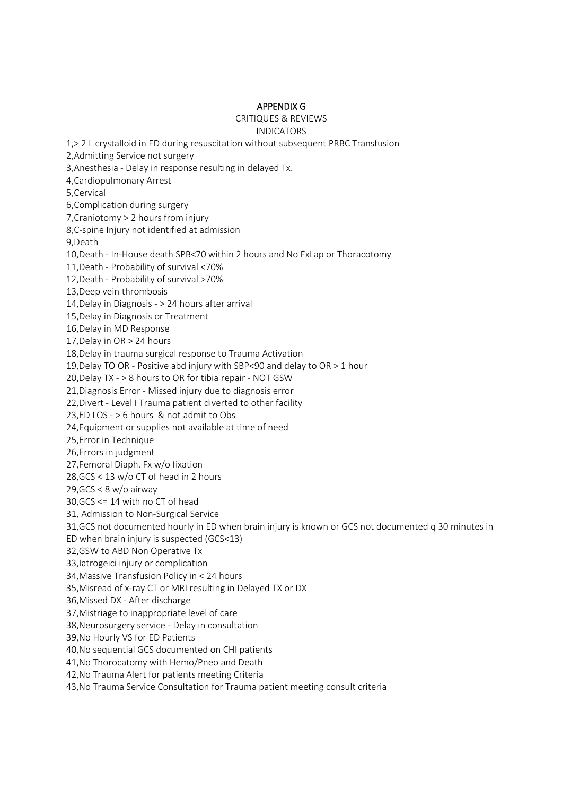# APPENDIX G

# CRITIQUES & REVIEWS INDICATORS

1,> 2 L crystalloid in ED during resuscitation without subsequent PRBC Transfusion 2,Admitting Service not surgery 3,Anesthesia - Delay in response resulting in delayed Tx. 4,Cardiopulmonary Arrest 5,Cervical 6,Complication during surgery 7,Craniotomy > 2 hours from injury 8,C-spine Injury not identified at admission 9,Death 10,Death - In-House death SPB<70 within 2 hours and No ExLap or Thoracotomy 11,Death - Probability of survival <70% 12,Death - Probability of survival >70% 13,Deep vein thrombosis 14,Delay in Diagnosis - > 24 hours after arrival 15,Delay in Diagnosis or Treatment 16,Delay in MD Response 17,Delay in OR > 24 hours 18,Delay in trauma surgical response to Trauma Activation 19,Delay TO OR - Positive abd injury with SBP<90 and delay to OR > 1 hour 20,Delay TX - > 8 hours to OR for tibia repair - NOT GSW 21,Diagnosis Error - Missed injury due to diagnosis error 22,Divert - Level I Trauma patient diverted to other facility 23,ED LOS - > 6 hours & not admit to Obs 24,Equipment or supplies not available at time of need 25,Error in Technique 26,Errors in judgment 27,Femoral Diaph. Fx w/o fixation 28,GCS < 13 w/o CT of head in 2 hours 29,GCS < 8 w/o airway 30,GCS <= 14 with no CT of head 31, Admission to Non-Surgical Service 31,GCS not documented hourly in ED when brain injury is known or GCS not documented q 30 minutes in ED when brain injury is suspected (GCS<13) 32,GSW to ABD Non Operative Tx 33,Iatrogeici injury or complication 34,Massive Transfusion Policy in < 24 hours 35,Misread of x-ray CT or MRI resulting in Delayed TX or DX 36,Missed DX - After discharge 37,Mistriage to inappropriate level of care 38,Neurosurgery service - Delay in consultation 39,No Hourly VS for ED Patients 40,No sequential GCS documented on CHI patients 41,No Thorocatomy with Hemo/Pneo and Death 42,No Trauma Alert for patients meeting Criteria 43,No Trauma Service Consultation for Trauma patient meeting consult criteria